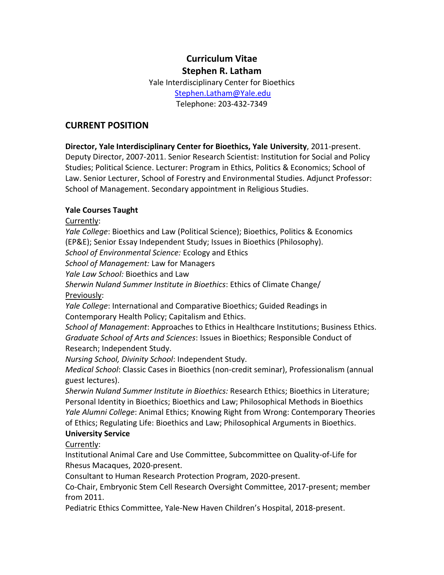# **Curriculum Vitae Stephen R. Latham**

Yale Interdisciplinary Center for Bioethics [Stephen.Latham@Yale.edu](mailto:Stephen.Latham@Yale.edu) Telephone: 203-432-7349

### **CURRENT POSITION**

**Director, Yale Interdisciplinary Center for Bioethics, Yale University**, 2011-present. Deputy Director, 2007-2011. Senior Research Scientist: Institution for Social and Policy Studies; Political Science. Lecturer: Program in Ethics, Politics & Economics; School of Law. Senior Lecturer, School of Forestry and Environmental Studies. Adjunct Professor: School of Management. Secondary appointment in Religious Studies.

#### **Yale Courses Taught**

Currently:

*Yale College*: Bioethics and Law (Political Science); Bioethics, Politics & Economics (EP&E); Senior Essay Independent Study; Issues in Bioethics (Philosophy).

*School of Environmental Science:* Ecology and Ethics

*School of Management:* Law for Managers

*Yale Law School:* Bioethics and Law

*Sherwin Nuland Summer Institute in Bioethics*: Ethics of Climate Change/ Previously:

*Yale College*: International and Comparative Bioethics; Guided Readings in Contemporary Health Policy; Capitalism and Ethics.

*School of Management*: Approaches to Ethics in Healthcare Institutions; Business Ethics. *Graduate School of Arts and Sciences*: Issues in Bioethics; Responsible Conduct of Research; Independent Study.

*Nursing School, Divinity School*: Independent Study.

*Medical School*: Classic Cases in Bioethics (non-credit seminar), Professionalism (annual guest lectures).

*Sherwin Nuland Summer Institute in Bioethics:* Research Ethics; Bioethics in Literature; Personal Identity in Bioethics; Bioethics and Law; Philosophical Methods in Bioethics *Yale Alumni College*: Animal Ethics; Knowing Right from Wrong: Contemporary Theories of Ethics; Regulating Life: Bioethics and Law; Philosophical Arguments in Bioethics. **University Service**

Currently:

Institutional Animal Care and Use Committee, Subcommittee on Quality-of-Life for Rhesus Macaques, 2020-present.

Consultant to Human Research Protection Program, 2020-present.

Co-Chair, Embryonic Stem Cell Research Oversight Committee, 2017-present; member from 2011.

Pediatric Ethics Committee, Yale-New Haven Children's Hospital, 2018-present.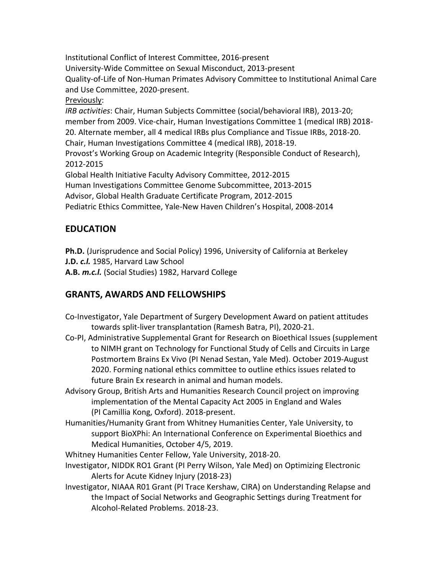Institutional Conflict of Interest Committee, 2016-present University-Wide Committee on Sexual Misconduct, 2013-present Quality-of-Life of Non-Human Primates Advisory Committee to Institutional Animal Care and Use Committee, 2020-present. Previously: *IRB activities*: Chair, Human Subjects Committee (social/behavioral IRB), 2013-20; member from 2009. Vice-chair, Human Investigations Committee 1 (medical IRB) 2018- 20. Alternate member, all 4 medical IRBs plus Compliance and Tissue IRBs, 2018-20. Chair, Human Investigations Committee 4 (medical IRB), 2018-19. Provost's Working Group on Academic Integrity (Responsible Conduct of Research), 2012-2015 Global Health Initiative Faculty Advisory Committee, 2012-2015 Human Investigations Committee Genome Subcommittee, 2013-2015 Advisor, Global Health Graduate Certificate Program, 2012-2015 Pediatric Ethics Committee, Yale-New Haven Children's Hospital, 2008-2014

## **EDUCATION**

**Ph.D.** (Jurisprudence and Social Policy) 1996, University of California at Berkeley **J.D.** *c.l.* 1985, Harvard Law School

**A.B.** *m.c.l.* (Social Studies) 1982, Harvard College

## **GRANTS, AWARDS AND FELLOWSHIPS**

- Co-Investigator, Yale Department of Surgery Development Award on patient attitudes towards split-liver transplantation (Ramesh Batra, PI), 2020-21.
- Co-PI, Administrative Supplemental Grant for Research on Bioethical Issues (supplement to NIMH grant on Technology for Functional Study of Cells and Circuits in Large Postmortem Brains Ex Vivo (PI Nenad Sestan, Yale Med). October 2019-August 2020. Forming national ethics committee to outline ethics issues related to future Brain Ex research in animal and human models.
- Advisory Group, British Arts and Humanities Research Council project on improving implementation of the Mental Capacity Act 2005 in England and Wales (PI Camillia Kong, Oxford). 2018-present.
- Humanities/Humanity Grant from Whitney Humanities Center, Yale University, to support BioXPhi: An International Conference on Experimental Bioethics and Medical Humanities, October 4/5, 2019.
- Whitney Humanities Center Fellow, Yale University, 2018-20.
- Investigator, NIDDK RO1 Grant (PI Perry Wilson, Yale Med) on Optimizing Electronic Alerts for Acute Kidney Injury (2018-23)
- Investigator, NIAAA R01 Grant (PI Trace Kershaw, CIRA) on Understanding Relapse and the Impact of Social Networks and Geographic Settings during Treatment for Alcohol-Related Problems. 2018-23.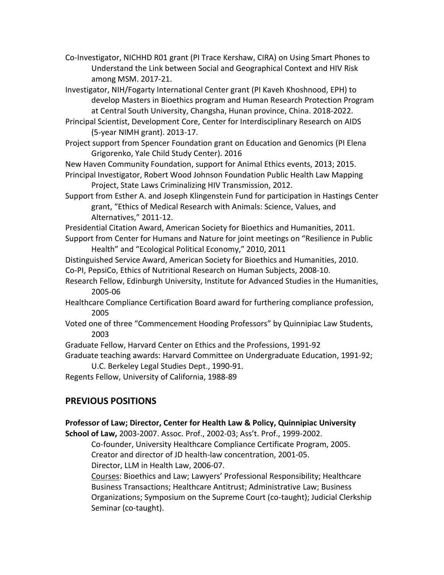Co-Investigator, NICHHD R01 grant (PI Trace Kershaw, CIRA) on Using Smart Phones to Understand the Link between Social and Geographical Context and HIV Risk among MSM. 2017-21.

Investigator, NIH/Fogarty International Center grant (PI Kaveh Khoshnood, EPH) to develop Masters in Bioethics program and Human Research Protection Program at Central South University, Changsha, Hunan province, China. 2018-2022.

- Principal Scientist, Development Core, Center for Interdisciplinary Research on AIDS (5-year NIMH grant). 2013-17.
- Project support from Spencer Foundation grant on Education and Genomics (PI Elena Grigorenko, Yale Child Study Center). 2016

New Haven Community Foundation, support for Animal Ethics events, 2013; 2015.

- Principal Investigator, Robert Wood Johnson Foundation Public Health Law Mapping Project, State Laws Criminalizing HIV Transmission, 2012.
- Support from Esther A. and Joseph Klingenstein Fund for participation in Hastings Center grant, "Ethics of Medical Research with Animals: Science, Values, and Alternatives," 2011-12.

Presidential Citation Award, American Society for Bioethics and Humanities, 2011. Support from Center for Humans and Nature for joint meetings on "Resilience in Public

Health" and "Ecological Political Economy," 2010, 2011

Distinguished Service Award, American Society for Bioethics and Humanities, 2010.

Co-PI, PepsiCo, Ethics of Nutritional Research on Human Subjects, 2008-10.

Research Fellow, Edinburgh University, Institute for Advanced Studies in the Humanities, 2005-06

Healthcare Compliance Certification Board award for furthering compliance profession, 2005

- Voted one of three "Commencement Hooding Professors" by Quinnipiac Law Students, 2003
- Graduate Fellow, Harvard Center on Ethics and the Professions, 1991-92

Graduate teaching awards: Harvard Committee on Undergraduate Education, 1991-92; U.C. Berkeley Legal Studies Dept., 1990-91.

Regents Fellow, University of California, 1988-89

### **PREVIOUS POSITIONS**

**Professor of Law; Director, Center for Health Law & Policy, Quinnipiac University**

**School of Law,** 2003-2007. Assoc. Prof., 2002-03; Ass't. Prof., 1999-2002. Co-founder, University Healthcare Compliance Certificate Program, 2005.

Creator and director of JD health-law concentration, 2001-05.

Director, LLM in Health Law, 2006-07.

Courses: Bioethics and Law; Lawyers' Professional Responsibility; Healthcare Business Transactions; Healthcare Antitrust; Administrative Law; Business Organizations; Symposium on the Supreme Court (co-taught); Judicial Clerkship Seminar (co-taught).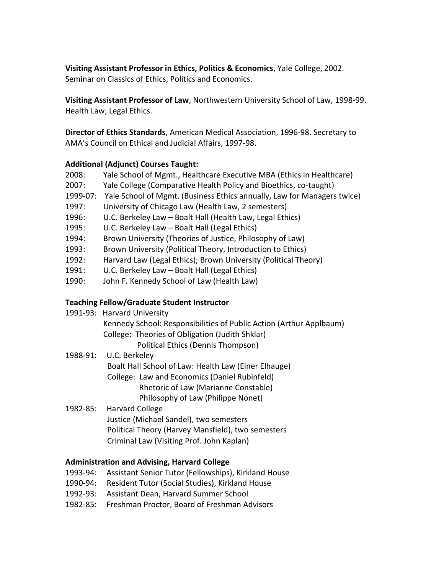**Visiting Assistant Professor in Ethics, Politics & Economics**, Yale College, 2002. Seminar on Classics of Ethics, Politics and Economics.

**Visiting Assistant Professor of Law**, Northwestern University School of Law, 1998-99. Health Law; Legal Ethics.

**Director of Ethics Standards**, American Medical Association, 1996-98. Secretary to AMA's Council on Ethical and Judicial Affairs, 1997-98.

#### **Additional (Adjunct) Courses Taught:**

- 2008: Yale School of Mgmt., Healthcare Executive MBA (Ethics in Healthcare)
- 2007: Yale College (Comparative Health Policy and Bioethics, co-taught)
- 1999-07: Yale School of Mgmt. (Business Ethics annually, Law for Managers twice)
- 1997: University of Chicago Law (Health Law, 2 semesters)
- 1996: U.C. Berkeley Law Boalt Hall (Health Law, Legal Ethics)
- 1995: U.C. Berkeley Law Boalt Hall (Legal Ethics)
- 1994: Brown University (Theories of Justice, Philosophy of Law)
- 1993: Brown University (Political Theory, Introduction to Ethics)
- 1992: Harvard Law (Legal Ethics); Brown University (Political Theory)
- 1991: U.C. Berkeley Law Boalt Hall (Legal Ethics)
- 1990: John F. Kennedy School of Law (Health Law)

### **Teaching Fellow/Graduate Student Instructor**

| 1991-93: Harvard University                                         |
|---------------------------------------------------------------------|
| Kennedy School: Responsibilities of Public Action (Arthur Applbaum) |
| College: Theories of Obligation (Judith Shklar)                     |
| Political Ethics (Dennis Thompson)                                  |
| $1088.01 \cdot 110$ Rarkalay                                        |

- 1988-91: U.C. Berkeley Boalt Hall School of Law: Health Law (Einer Elhauge) College: Law and Economics (Daniel Rubinfeld) Rhetoric of Law (Marianne Constable) Philosophy of Law (Philippe Nonet)
- 1982-85: Harvard College Justice (Michael Sandel), two semesters Political Theory (Harvey Mansfield), two semesters Criminal Law (Visiting Prof. John Kaplan)

#### **Administration and Advising, Harvard College**

- 1993-94: Assistant Senior Tutor (Fellowships), Kirkland House
- 1990-94: Resident Tutor (Social Studies), Kirkland House
- 1992-93: Assistant Dean, Harvard Summer School
- 1982-85: Freshman Proctor, Board of Freshman Advisors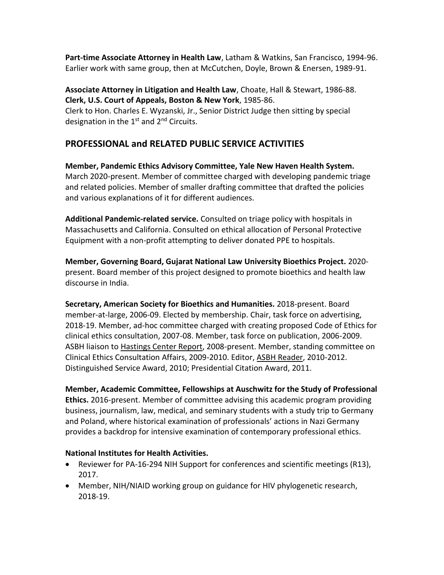**Part-time Associate Attorney in Health Law**, Latham & Watkins, San Francisco, 1994-96. Earlier work with same group, then at McCutchen, Doyle, Brown & Enersen, 1989-91.

**Associate Attorney in Litigation and Health Law**, Choate, Hall & Stewart, 1986-88. **Clerk, U.S. Court of Appeals, Boston & New York**, 1985-86.

Clerk to Hon. Charles E. Wyzanski, Jr., Senior District Judge then sitting by special designation in the  $1<sup>st</sup>$  and  $2<sup>nd</sup>$  Circuits.

### **PROFESSIONAL and RELATED PUBLIC SERVICE ACTIVITIES**

**Member, Pandemic Ethics Advisory Committee, Yale New Haven Health System.**  March 2020-present. Member of committee charged with developing pandemic triage and related policies. Member of smaller drafting committee that drafted the policies and various explanations of it for different audiences.

**Additional Pandemic-related service.** Consulted on triage policy with hospitals in Massachusetts and California. Consulted on ethical allocation of Personal Protective Equipment with a non-profit attempting to deliver donated PPE to hospitals.

**Member, Governing Board, Gujarat National Law University Bioethics Project.** 2020 present. Board member of this project designed to promote bioethics and health law discourse in India.

**Secretary, American Society for Bioethics and Humanities.** 2018-present. Board member-at-large, 2006-09. Elected by membership. Chair, task force on advertising, 2018-19. Member, ad-hoc committee charged with creating proposed Code of Ethics for clinical ethics consultation, 2007-08. Member, task force on publication, 2006-2009. ASBH liaison to Hastings Center Report, 2008-present. Member, standing committee on Clinical Ethics Consultation Affairs, 2009-2010. Editor, ASBH Reader, 2010-2012. Distinguished Service Award, 2010; Presidential Citation Award, 2011.

**Member, Academic Committee, Fellowships at Auschwitz for the Study of Professional Ethics.** 2016-present. Member of committee advising this academic program providing business, journalism, law, medical, and seminary students with a study trip to Germany and Poland, where historical examination of professionals' actions in Nazi Germany provides a backdrop for intensive examination of contemporary professional ethics.

#### **National Institutes for Health Activities.**

- Reviewer for PA-16-294 NIH Support for conferences and scientific meetings (R13), 2017.
- Member, NIH/NIAID working group on guidance for HIV phylogenetic research, 2018-19.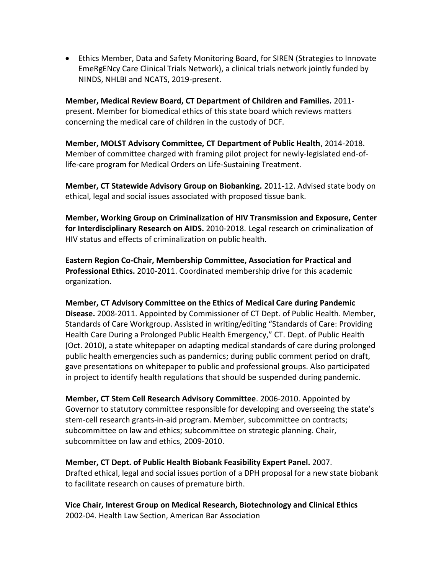• Ethics Member, Data and Safety Monitoring Board, for SIREN (Strategies to Innovate EmeRgENcy Care Clinical Trials Network), a clinical trials network jointly funded by NINDS, NHLBI and NCATS, 2019-present.

**Member, Medical Review Board, CT Department of Children and Families.** 2011 present. Member for biomedical ethics of this state board which reviews matters concerning the medical care of children in the custody of DCF.

**Member, MOLST Advisory Committee, CT Department of Public Health**, 2014-2018. Member of committee charged with framing pilot project for newly-legislated end-oflife-care program for Medical Orders on Life-Sustaining Treatment.

**Member, CT Statewide Advisory Group on Biobanking.** 2011-12. Advised state body on ethical, legal and social issues associated with proposed tissue bank.

**Member, Working Group on Criminalization of HIV Transmission and Exposure, Center for Interdisciplinary Research on AIDS.** 2010-2018. Legal research on criminalization of HIV status and effects of criminalization on public health.

**Eastern Region Co-Chair, Membership Committee, Association for Practical and Professional Ethics.** 2010-2011. Coordinated membership drive for this academic organization.

**Member, CT Advisory Committee on the Ethics of Medical Care during Pandemic Disease.** 2008-2011. Appointed by Commissioner of CT Dept. of Public Health. Member, Standards of Care Workgroup. Assisted in writing/editing "Standards of Care: Providing Health Care During a Prolonged Public Health Emergency," CT. Dept. of Public Health (Oct. 2010), a state whitepaper on adapting medical standards of care during prolonged public health emergencies such as pandemics; during public comment period on draft, gave presentations on whitepaper to public and professional groups. Also participated in project to identify health regulations that should be suspended during pandemic.

**Member, CT Stem Cell Research Advisory Committee**. 2006-2010. Appointed by Governor to statutory committee responsible for developing and overseeing the state's stem-cell research grants-in-aid program. Member, subcommittee on contracts; subcommittee on law and ethics; subcommittee on strategic planning. Chair, subcommittee on law and ethics, 2009-2010.

**Member, CT Dept. of Public Health Biobank Feasibility Expert Panel.** 2007. Drafted ethical, legal and social issues portion of a DPH proposal for a new state biobank to facilitate research on causes of premature birth.

**Vice Chair, Interest Group on Medical Research, Biotechnology and Clinical Ethics**  2002-04. Health Law Section, American Bar Association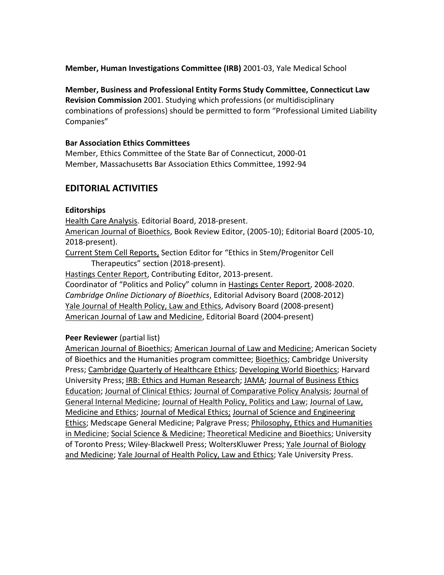**Member, Human Investigations Committee (IRB)** 2001-03, Yale Medical School

**Member, Business and Professional Entity Forms Study Committee, Connecticut Law Revision Commission** 2001. Studying which professions (or multidisciplinary combinations of professions) should be permitted to form "Professional Limited Liability Companies"

#### **Bar Association Ethics Committees**

Member, Ethics Committee of the State Bar of Connecticut, 2000-01 Member, Massachusetts Bar Association Ethics Committee, 1992-94

### **EDITORIAL ACTIVITIES**

#### **Editorships**

Health Care Analysis. Editorial Board, 2018-present. American Journal of Bioethics, Book Review Editor, (2005-10); Editorial Board (2005-10, 2018-present).

Current Stem Cell Reports, Section Editor for "Ethics in Stem/Progenitor Cell Therapeutics" section (2018-present).

Hastings Center Report, Contributing Editor, 2013-present.

Coordinator of "Politics and Policy" column in Hastings Center Report, 2008-2020. *Cambridge Online Dictionary of Bioethics*, Editorial Advisory Board (2008-2012) Yale Journal of Health Policy, Law and Ethics, Advisory Board (2008-present) American Journal of Law and Medicine, Editorial Board (2004-present)

#### **Peer Reviewer** (partial list)

American Journal of Bioethics; American Journal of Law and Medicine; American Society of Bioethics and the Humanities program committee; Bioethics; Cambridge University Press; Cambridge Quarterly of Healthcare Ethics; Developing World Bioethics; Harvard University Press; IRB: Ethics and Human Research; JAMA; Journal of Business Ethics Education; Journal of Clinical Ethics; Journal of Comparative Policy Analysis; Journal of General Internal Medicine; Journal of Health Policy, Politics and Law; Journal of Law, Medicine and Ethics; Journal of Medical Ethics; Journal of Science and Engineering Ethics; Medscape General Medicine; Palgrave Press; Philosophy, Ethics and Humanities in Medicine; Social Science & Medicine; Theoretical Medicine and Bioethics; University of Toronto Press; Wiley-Blackwell Press; WoltersKluwer Press; Yale Journal of Biology and Medicine; Yale Journal of Health Policy, Law and Ethics; Yale University Press.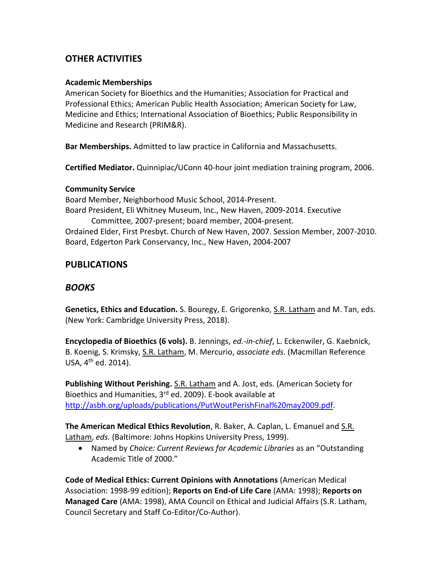### **OTHER ACTIVITIES**

#### **Academic Memberships**

American Society for Bioethics and the Humanities; Association for Practical and Professional Ethics; American Public Health Association; American Society for Law, Medicine and Ethics; International Association of Bioethics; Public Responsibility in Medicine and Research (PRIM&R).

**Bar Memberships.** Admitted to law practice in California and Massachusetts.

**Certified Mediator.** Quinnipiac/UConn 40-hour joint mediation training program, 2006.

#### **Community Service**

Board Member, Neighborhood Music School, 2014-Present. Board President, Eli Whitney Museum, Inc., New Haven, 2009-2014. Executive Committee, 2007-present; board member, 2004-present. Ordained Elder, First Presbyt. Church of New Haven, 2007. Session Member, 2007-2010. Board, Edgerton Park Conservancy, Inc., New Haven, 2004-2007

### **PUBLICATIONS**

### *BOOKS*

**Genetics, Ethics and Education.** S. Bouregy, E. Grigorenko, S.R. Latham and M. Tan, eds. (New York: Cambridge University Press, 2018).

**Encyclopedia of Bioethics (6 vols).** B. Jennings, *ed.-in-chief*, L. Eckenwiler, G. Kaebnick, B. Koenig, S. Krimsky, S.R. Latham, M. Mercurio, *associate eds*. (Macmillan Reference USA, 4<sup>th</sup> ed. 2014).

**Publishing Without Perishing.** S.R. Latham and A. Jost, eds. (American Society for Bioethics and Humanities,  $3<sup>rd</sup>$  ed. 2009). E-book available at [http://asbh.org/uploads/publications/PutWoutPerishFinal%20may2009.pdf.](http://asbh.org/uploads/publications/PutWoutPerishFinal%20may2009.pdf)

**The American Medical Ethics Revolution**, R. Baker, A. Caplan, L. Emanuel and S.R. Latham, *eds.* (Baltimore: Johns Hopkins University Press, 1999).

• Named by *Choice: Current Reviews for Academic Libraries* as an "Outstanding Academic Title of 2000."

**Code of Medical Ethics: Current Opinions with Annotations** (American Medical Association: 1998-99 edition); **Reports on End-of Life Care** (AMA: 1998); **Reports on Managed Care** (AMA: 1998), AMA Council on Ethical and Judicial Affairs (S.R. Latham, Council Secretary and Staff Co-Editor/Co-Author).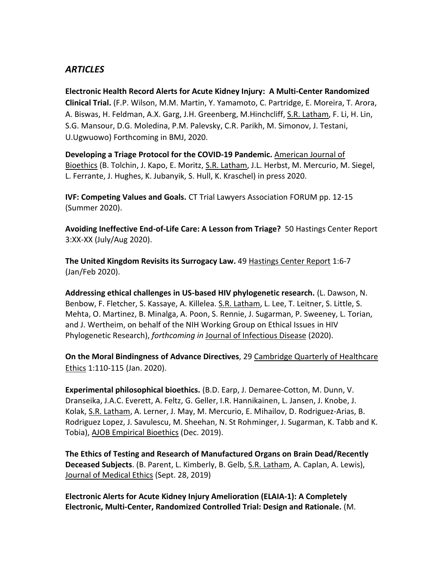### *ARTICLES*

**Electronic Health Record Alerts for Acute Kidney Injury: A Multi-Center Randomized Clinical Trial.** (F.P. Wilson, M.M. Martin, Y. Yamamoto, C. Partridge, E. Moreira, T. Arora, A. Biswas, H. Feldman, A.X. Garg, J.H. Greenberg, M.Hinchcliff, S.R. Latham, F. Li, H. Lin, S.G. Mansour, D.G. Moledina, P.M. Palevsky, C.R. Parikh, M. Simonov, J. Testani, U.Ugwuowo) Forthcoming in BMJ, 2020.

**Developing a Triage Protocol for the COVID-19 Pandemic.** American Journal of Bioethics (B. Tolchin, J. Kapo, E. Moritz, S.R. Latham, J.L. Herbst, M. Mercurio, M. Siegel, L. Ferrante, J. Hughes, K. Jubanyik, S. Hull, K. Kraschel) in press 2020.

**IVF: Competing Values and Goals.** CT Trial Lawyers Association FORUM pp. 12-15 (Summer 2020).

**Avoiding Ineffective End-of-Life Care: A Lesson from Triage?** 50 Hastings Center Report 3:XX-XX (July/Aug 2020).

**The United Kingdom Revisits its Surrogacy Law.** 49 Hastings Center Report 1:6-7 (Jan/Feb 2020).

**Addressing ethical challenges in US-based HIV phylogenetic research.** (L. Dawson, N. Benbow, F. Fletcher, S. Kassaye, A. Killelea. S.R. Latham, L. Lee, T. Leitner, S. Little, S. Mehta, O. Martinez, B. Minalga, A. Poon, S. Rennie, J. Sugarman, P. Sweeney, L. Torian, and J. Wertheim, on behalf of the NIH Working Group on Ethical Issues in HIV Phylogenetic Research), *forthcoming in* Journal of Infectious Disease (2020).

**On the Moral Bindingness of Advance Directives**, 29 Cambridge Quarterly of Healthcare Ethics 1:110-115 (Jan. 2020).

**Experimental philosophical bioethics.** (B.D. Earp, J. Demaree-Cotton, M. Dunn, V. Dranseika, J.A.C. Everett, A. Feltz, G. Geller, I.R. Hannikainen, L. Jansen, J. Knobe, J. Kolak, S.R. Latham, A. Lerner, J. May, M. Mercurio, E. Mihailov, D. Rodriguez-Arias, B. Rodriguez Lopez, J. Savulescu, M. Sheehan, N. St Rohminger, J. Sugarman, K. Tabb and K. Tobia), AJOB Empirical Bioethics (Dec. 2019).

**The Ethics of Testing and Research of Manufactured Organs on Brain Dead/Recently Deceased Subjects**. (B. Parent, L. Kimberly, B. Gelb, S.R. Latham, A. Caplan, A. Lewis), Journal of Medical Ethics (Sept. 28, 2019)

**Electronic Alerts for Acute Kidney Injury Amelioration (ELAIA-1): A Completely Electronic, Multi-Center, Randomized Controlled Trial: Design and Rationale.** (M.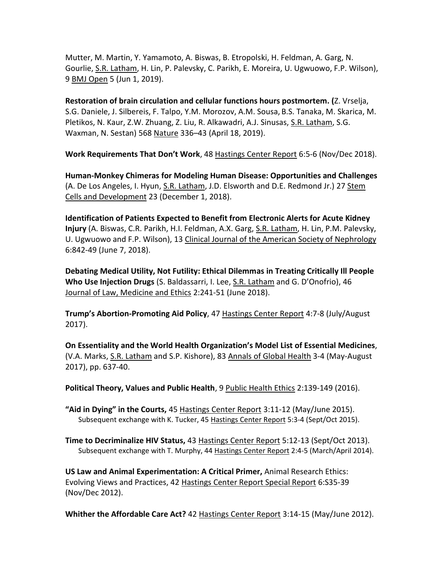Mutter, M. Martin, Y. Yamamoto, A. Biswas, B. Etropolski, H. Feldman, A. Garg, N. Gourlie, S.R. Latham, H. Lin, P. Palevsky, C. Parikh, E. Moreira, U. Ugwuowo, F.P. Wilson), 9 BMJ Open 5 (Jun 1, 2019).

**Restoration of brain circulation and cellular functions hours postmortem. (**Z. Vrselja, S.G. Daniele, J. Silbereis, F. Talpo, Y.M. Morozov, A.M. Sousa, B.S. Tanaka, M. Skarica, M. Pletikos, N. Kaur, Z.W. Zhuang, Z. Liu, R. Alkawadri, A.J. Sinusas, S.R. Latham, S.G. Waxman, N. Sestan) 568 Nature 336–43 (April 18, 2019).

**Work Requirements That Don't Work**, 48 Hastings Center Report 6:5-6 (Nov/Dec 2018).

**Human-Monkey Chimeras for Modeling Human Disease: Opportunities and Challenges** (A. De Los Angeles, I. Hyun, S.R. Latham, J.D. Elsworth and D.E. Redmond Jr.) 27 Stem Cells and Development 23 (December 1, 2018).

**Identification of Patients Expected to Benefit from Electronic Alerts for Acute Kidney Injury** (A. Biswas, C.R. Parikh, H.I. Feldman, A.X. Garg, S.R. Latham, H. Lin, P.M. Palevsky, U. Ugwuowo and F.P. Wilson), 13 Clinical Journal of the American Society of Nephrology 6:842-49 (June 7, 2018).

**Debating Medical Utility, Not Futility: Ethical Dilemmas in Treating Critically Ill People Who Use Injection Drugs** (S. Baldassarri, I. Lee, S.R. Latham and G. D'Onofrio), 46 Journal of Law, Medicine and Ethics 2:241-51 (June 2018).

**Trump's Abortion-Promoting Aid Policy**, 47 Hastings Center Report 4:7-8 (July/August 2017).

**On Essentiality and the World Health Organization's Model List of Essential Medicines**, (V.A. Marks, S.R. Latham and S.P. Kishore), 83 Annals of Global Health 3-4 (May-August 2017), pp. 637-40.

**Political Theory, Values and Public Health**, 9 Public Health Ethics 2:139-149 (2016).

**"Aid in Dying" in the Courts,** 45 Hastings Center Report 3:11-12 (May/June 2015). Subsequent exchange with K. Tucker, 45 Hastings Center Report 5:3-4 (Sept/Oct 2015).

**Time to Decriminalize HIV Status,** 43 Hastings Center Report 5:12-13 (Sept/Oct 2013). Subsequent exchange with T. Murphy, 44 Hastings Center Report 2:4-5 (March/April 2014).

**US Law and Animal Experimentation: A Critical Primer,** Animal Research Ethics: Evolving Views and Practices, 42 Hastings Center Report Special Report 6:S35-39 (Nov/Dec 2012).

**Whither the Affordable Care Act?** 42 Hastings Center Report 3:14-15 (May/June 2012).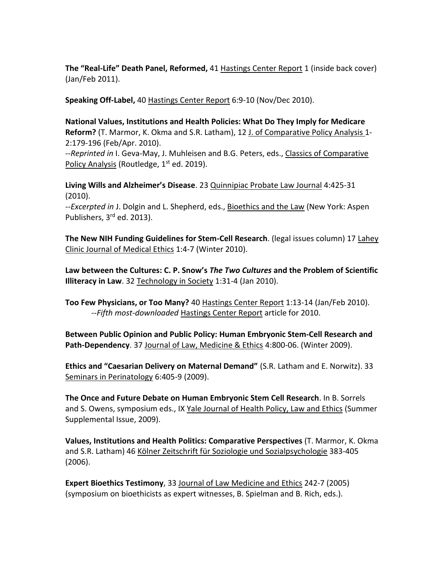**The "Real-Life" Death Panel, Reformed,** 41 Hastings Center Report 1 (inside back cover) (Jan/Feb 2011).

**Speaking Off-Label,** 40 Hastings Center Report 6:9-10 (Nov/Dec 2010).

**National Values, Institutions and Health Policies: What Do They Imply for Medicare Reform?** (T. Marmor, K. Okma and S.R. Latham), 12 J. of Comparative Policy Analysis 1- 2:179-196 (Feb/Apr. 2010).

--*Reprinted in* I. Geva-May, J. Muhleisen and B.G. Peters, eds., Classics of Comparative Policy Analysis (Routledge, 1<sup>st</sup> ed. 2019).

**Living Wills and Alzheimer's Disease**. 23 Quinnipiac Probate Law Journal 4:425-31 (2010).

*--Excerpted in* J. Dolgin and L. Shepherd, eds., Bioethics and the Law (New York: Aspen Publishers, 3rd ed. 2013).

**The New NIH Funding Guidelines for Stem-Cell Research**. (legal issues column) 17 Lahey Clinic Journal of Medical Ethics 1:4-7 (Winter 2010).

**Law between the Cultures: C. P. Snow's** *The Two Cultures* **and the Problem of Scientific Illiteracy in Law**. 32 Technology in Society 1:31-4 (Jan 2010).

**Too Few Physicians, or Too Many?** 40 Hastings Center Report 1:13-14 (Jan/Feb 2010). *--Fifth most-downloaded* Hastings Center Report article for 2010.

**Between Public Opinion and Public Policy: Human Embryonic Stem-Cell Research and Path-Dependency**. 37 Journal of Law, Medicine & Ethics 4:800-06. (Winter 2009).

**Ethics and "Caesarian Delivery on Maternal Demand"** (S.R. Latham and E. Norwitz). 33 Seminars in Perinatology 6:405-9 (2009).

**The Once and Future Debate on Human Embryonic Stem Cell Research**. In B. Sorrels and S. Owens, symposium eds., IX Yale Journal of Health Policy, Law and Ethics (Summer Supplemental Issue, 2009).

**Values, Institutions and Health Politics: Comparative Perspectives** (T. Marmor, K. Okma and S.R. Latham) 46 Kölner Zeitschrift für Soziologie und Sozialpsychologie 383-405 (2006).

**Expert Bioethics Testimony**, 33 Journal of Law Medicine and Ethics 242-7 (2005) (symposium on bioethicists as expert witnesses, B. Spielman and B. Rich, eds.).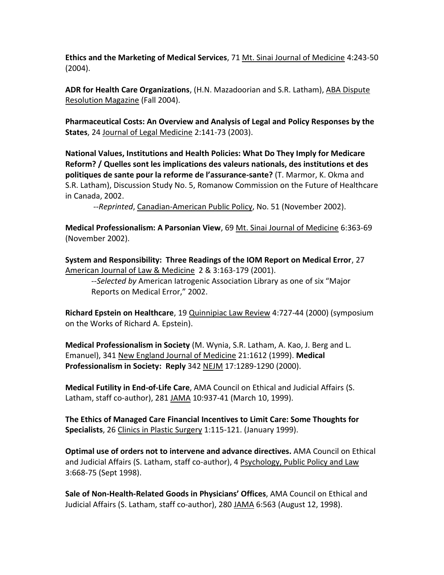**Ethics and the Marketing of Medical Services**, 71 Mt. Sinai Journal of Medicine 4:243-50 (2004).

**ADR for Health Care Organizations**, (H.N. Mazadoorian and S.R. Latham), ABA Dispute Resolution Magazine (Fall 2004).

**Pharmaceutical Costs: An Overview and Analysis of Legal and Policy Responses by the States**, 24 Journal of Legal Medicine 2:141-73 (2003).

**National Values, Institutions and Health Policies: What Do They Imply for Medicare Reform? / Quelles sont les implications des valeurs nationals, des institutions et des politiques de sante pour la reforme de l'assurance-sante?** (T. Marmor, K. Okma and S.R. Latham), Discussion Study No. 5, Romanow Commission on the Future of Healthcare in Canada, 2002.

*--Reprinted*, Canadian-American Public Policy, No. 51 (November 2002).

**Medical Professionalism: A Parsonian View**, 69 Mt. Sinai Journal of Medicine 6:363-69 (November 2002).

**System and Responsibility: Three Readings of the IOM Report on Medical Error**, 27 American Journal of Law & Medicine 2 & 3:163-179 (2001).

*--Selected by* American Iatrogenic Association Library as one of six "Major Reports on Medical Error," 2002.

**Richard Epstein on Healthcare**, 19 Quinnipiac Law Review 4:727-44 (2000) (symposium on the Works of Richard A. Epstein).

**Medical Professionalism in Society** (M. Wynia, S.R. Latham, A. Kao, J. Berg and L. Emanuel), 341 New England Journal of Medicine 21:1612 (1999). **Medical Professionalism in Society: Reply** 342 NEJM 17:1289-1290 (2000).

**Medical Futility in End-of-Life Care**, AMA Council on Ethical and Judicial Affairs (S. Latham, staff co-author), 281 JAMA 10:937-41 (March 10, 1999).

**The Ethics of Managed Care Financial Incentives to Limit Care: Some Thoughts for Specialists**, 26 Clinics in Plastic Surgery 1:115-121. (January 1999).

**Optimal use of orders not to intervene and advance directives.** AMA Council on Ethical and Judicial Affairs (S. Latham, staff co-author), 4 Psychology, Public Policy and Law 3:668-75 (Sept 1998).

**Sale of Non-Health-Related Goods in Physicians' Offices**, AMA Council on Ethical and Judicial Affairs (S. Latham, staff co-author), 280 JAMA 6:563 (August 12, 1998).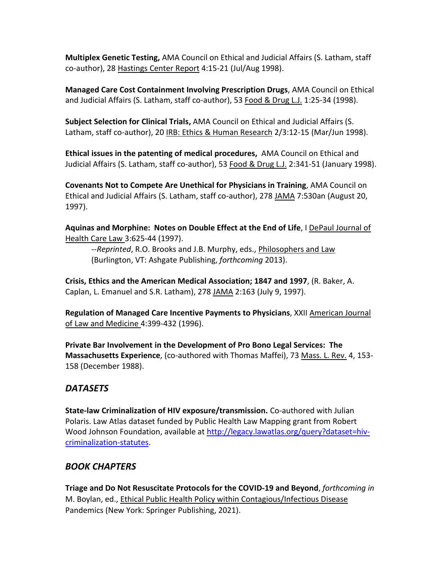**Multiplex Genetic Testing,** AMA Council on Ethical and Judicial Affairs (S. Latham, staff co-author), 28 Hastings Center Report 4:15-21 (Jul/Aug 1998).

**Managed Care Cost Containment Involving Prescription Drugs**, AMA Council on Ethical and Judicial Affairs (S. Latham, staff co-author), 53 Food & Drug L.J. 1:25-34 (1998).

**Subject Selection for Clinical Trials,** AMA Council on Ethical and Judicial Affairs (S. Latham, staff co-author), 20 IRB: Ethics & Human Research 2/3:12-15 (Mar/Jun 1998).

**Ethical issues in the patenting of medical procedures,** AMA Council on Ethical and Judicial Affairs (S. Latham, staff co-author), 53 Food & Drug L.J. 2:341-51 (January 1998).

**Covenants Not to Compete Are Unethical for Physicians in Training**, AMA Council on Ethical and Judicial Affairs (S. Latham, staff co-author), 278 JAMA 7:530an (August 20, 1997).

**Aquinas and Morphine: Notes on Double Effect at the End of Life**, I DePaul Journal of Health Care Law 3:625-44 (1997).

--*Reprinted*, R.O. Brooks and J.B. Murphy, eds., Philosophers and Law (Burlington, VT: Ashgate Publishing, *forthcoming* 2013).

**Crisis, Ethics and the American Medical Association; 1847 and 1997**, (R. Baker, A. Caplan, L. Emanuel and S.R. Latham), 278 JAMA 2:163 (July 9, 1997).

**Regulation of Managed Care Incentive Payments to Physicians**, XXII American Journal of Law and Medicine 4:399-432 (1996).

**Private Bar Involvement in the Development of Pro Bono Legal Services: The Massachusetts Experience**, (co-authored with Thomas Maffei), 73 Mass. L. Rev. 4, 153- 158 (December 1988).

## *DATASETS*

**State-law Criminalization of HIV exposure/transmission.** Co-authored with Julian Polaris. Law Atlas dataset funded by Public Health Law Mapping grant from Robert Wood Johnson Foundation, available at [http://legacy.lawatlas.org/query?dataset=hiv](http://legacy.lawatlas.org/query?dataset=hiv-criminalization-statutes)[criminalization-statutes.](http://legacy.lawatlas.org/query?dataset=hiv-criminalization-statutes)

### *BOOK CHAPTERS*

**Triage and Do Not Resuscitate Protocols for the COVID-19 and Beyond**, *forthcoming in* M. Boylan, ed., Ethical Public Health Policy within Contagious/Infectious Disease Pandemics (New York: Springer Publishing, 2021).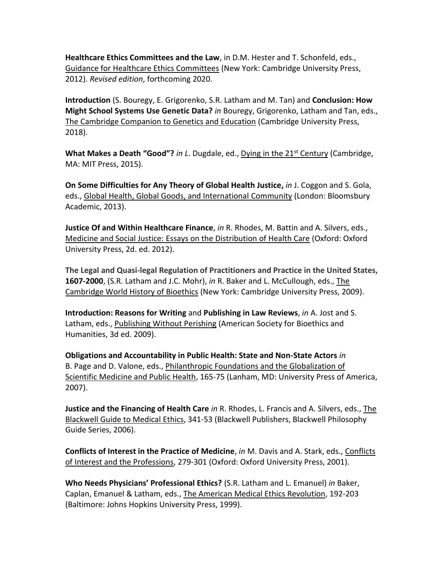**Healthcare Ethics Committees and the Law**, in D.M. Hester and T. Schonfeld, eds., Guidance for Healthcare Ethics Committees (New York: Cambridge University Press, 2012). *Revised edition*, forthcoming 2020.

**Introduction** (S. Bouregy, E. Grigorenko, S.R. Latham and M. Tan) and **Conclusion: How Might School Systems Use Genetic Data?** *in* Bouregy, Grigorenko, Latham and Tan, eds., The Cambridge Companion to Genetics and Education (Cambridge University Press, 2018).

**What Makes a Death "Good"?** *in L*. Dugdale, ed., Dying in the 21st Century (Cambridge, MA: MIT Press, 2015).

**On Some Difficulties for Any Theory of Global Health Justice,** *in* J. Coggon and S. Gola, eds., Global Health, Global Goods, and International Community (London: Bloomsbury Academic, 2013).

**Justice Of and Within Healthcare Finance**, *in* R. Rhodes, M. Battin and A. Silvers, eds., Medicine and Social Justice: Essays on the Distribution of Health Care (Oxford: Oxford University Press, 2d. ed. 2012).

**The Legal and Quasi-legal Regulation of Practitioners and Practice in the United States, 1607-2000**, (S.R. Latham and J.C. Mohr), *in* R. Baker and L. McCullough, eds., The Cambridge World History of Bioethics (New York: Cambridge University Press, 2009).

**Introduction: Reasons for Writing** and **Publishing in Law Reviews**, *in* A. Jost and S. Latham, eds., Publishing Without Perishing (American Society for Bioethics and Humanities, 3d ed. 2009).

**Obligations and Accountability in Public Health: State and Non-State Actors** *in* B. Page and D. Valone, eds., Philanthropic Foundations and the Globalization of Scientific Medicine and Public Health, 165-75 (Lanham, MD: University Press of America, 2007).

**Justice and the Financing of Health Care** *in* R. Rhodes, L. Francis and A. Silvers, eds., The Blackwell Guide to Medical Ethics, 341-53 (Blackwell Publishers, Blackwell Philosophy Guide Series, 2006).

**Conflicts of Interest in the Practice of Medicine**, *in* M. Davis and A. Stark, eds., Conflicts of Interest and the Professions, 279-301 (Oxford: Oxford University Press, 2001).

**Who Needs Physicians' Professional Ethics?** (S.R. Latham and L. Emanuel) *in* Baker, Caplan, Emanuel & Latham, eds., The American Medical Ethics Revolution, 192-203 (Baltimore: Johns Hopkins University Press, 1999).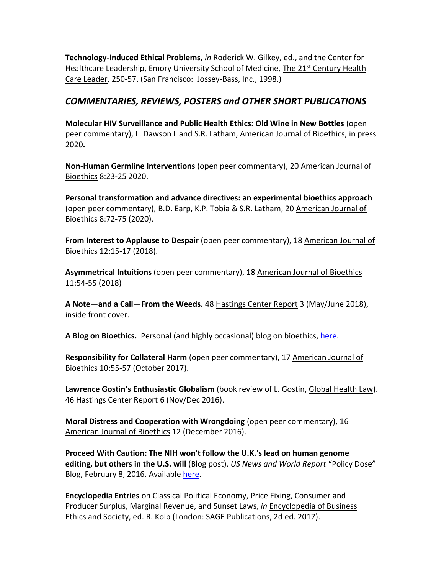**Technology-Induced Ethical Problems**, *in* Roderick W. Gilkey, ed., and the Center for Healthcare Leadership, Emory University School of Medicine, The 21<sup>st</sup> Century Health Care Leader, 250-57. (San Francisco: Jossey-Bass, Inc., 1998.)

### *COMMENTARIES, REVIEWS, POSTERS and OTHER SHORT PUBLICATIONS*

**Molecular HIV Surveillance and Public Health Ethics: Old Wine in New Bottles** (open peer commentary), L. Dawson L and S.R. Latham, American Journal of Bioethics, in press 2020**.** 

**Non-Human Germline Interventions** (open peer commentary), 20 American Journal of Bioethics 8:23-25 2020.

**Personal transformation and advance directives: an experimental bioethics approach** (open peer commentary), B.D. Earp, K.P. Tobia & S.R. Latham, 20 American Journal of Bioethics 8:72-75 (2020).

**From Interest to Applause to Despair** (open peer commentary), 18 American Journal of Bioethics 12:15-17 (2018).

**Asymmetrical Intuitions** (open peer commentary), 18 American Journal of Bioethics 11:54-55 (2018)

**A Note—and a Call—From the Weeds.** 48 Hastings Center Report 3 (May/June 2018), inside front cover.

**A Blog on Bioethics.** Personal (and highly occasional) blog on bioethics, [here.](http://ablogonbioethics.blogspot.com/)

**Responsibility for Collateral Harm** (open peer commentary), 17 American Journal of Bioethics 10:55-57 (October 2017).

**Lawrence Gostin's Enthusiastic Globalism** (book review of L. Gostin, Global Health Law). 46 Hastings Center Report 6 (Nov/Dec 2016).

**Moral Distress and Cooperation with Wrongdoing** (open peer commentary), 16 American Journal of Bioethics 12 (December 2016).

**Proceed With Caution: The NIH won't follow the U.K.'s lead on human genome editing, but others in the U.S. will** (Blog post). *US News and World Report* "Policy Dose" Blog, February 8, 2016. Available [here.](http://www.usnews.com/opinion/blogs/policy-dose/articles/2016-02-08/nih-wont-fund-human-embryo-gene-editing-but-others-will)

**Encyclopedia Entries** on Classical Political Economy, Price Fixing, Consumer and Producer Surplus, Marginal Revenue, and Sunset Laws, *in* Encyclopedia of Business Ethics and Society, ed. R. Kolb (London: SAGE Publications, 2d ed. 2017).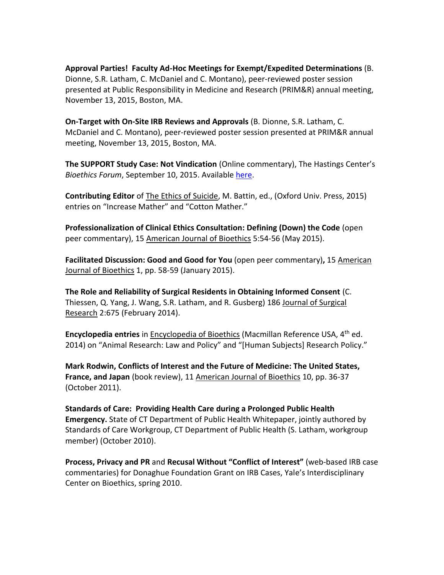**Approval Parties! Faculty Ad-Hoc Meetings for Exempt/Expedited Determinations** (B. Dionne, S.R. Latham, C. McDaniel and C. Montano), peer-reviewed poster session presented at Public Responsibility in Medicine and Research (PRIM&R) annual meeting, November 13, 2015, Boston, MA.

**On-Target with On-Site IRB Reviews and Approvals** (B. Dionne, S.R. Latham, C. McDaniel and C. Montano), peer-reviewed poster session presented at PRIM&R annual meeting, November 13, 2015, Boston, MA.

**The SUPPORT Study Case: Not Vindication** (Online commentary), The Hastings Center's *Bioethics Forum*, September 10, 2015. Available [here.](http://www.thehastingscenter.org/the-support-study-case-not-vindication/)

**Contributing Editor** of The Ethics of Suicide, M. Battin, ed., (Oxford Univ. Press, 2015) entries on "Increase Mather" and "Cotton Mather."

**Professionalization of Clinical Ethics Consultation: Defining (Down) the Code** (open peer commentary), 15 American Journal of Bioethics 5:54-56 (May 2015).

**Facilitated Discussion: Good and Good for You** (open peer commentary)**,** 15 American Journal of Bioethics 1, pp. 58-59 (January 2015).

**The Role and Reliability of Surgical Residents in Obtaining Informed Consent** (C. Thiessen, Q. Yang, J. Wang, S.R. Latham, and R. Gusberg) 186 Journal of Surgical Research 2:675 (February 2014).

**Encyclopedia entries** in Encyclopedia of Bioethics (Macmillan Reference USA, 4th ed. 2014) on "Animal Research: Law and Policy" and "[Human Subjects] Research Policy."

**Mark Rodwin, Conflicts of Interest and the Future of Medicine: The United States, France, and Japan** (book review), 11 American Journal of Bioethics 10, pp. 36-37 (October 2011).

**Standards of Care: Providing Health Care during a Prolonged Public Health Emergency.** State of CT Department of Public Health Whitepaper, jointly authored by Standards of Care Workgroup, CT Department of Public Health (S. Latham, workgroup member) (October 2010).

**Process, Privacy and PR** and **Recusal Without "Conflict of Interest"** (web-based IRB case commentaries) for Donaghue Foundation Grant on IRB Cases, Yale's Interdisciplinary Center on Bioethics, spring 2010.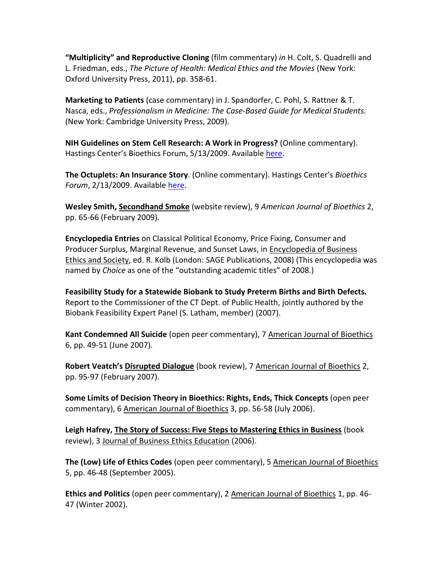**"Multiplicity" and Reproductive Cloning** (film commentary) *in* H. Colt, S. Quadrelli and L. Friedman, eds., *The Picture of Health: Medical Ethics and the Movies* (New York: Oxford University Press, 2011), pp. 358-61.

**Marketing to Patients** (case commentary) in J. Spandorfer, C. Pohl, S. Rattner & T. Nasca, eds., *Professionalism in Medicine: The Case-Based Guide for Medical Students.* (New York: Cambridge University Press, 2009).

**NIH Guidelines on Stem Cell Research: A Work in Progress?** (Online commentary). Hastings Center's Bioethics Forum, 5/13/2009. Available [here.](http://www.thehastingscenter.org/nih-draft-guidelines-on-stem-cell-research-a-work-in-progress/)

**The Octuplets: An Insurance Story**. (Online commentary). Hastings Center's *Bioethics Forum*, 2/13/2009. Available [here.](http://www.thehastingscenter.org/the-octuplets-an-insurance-story/)

**Wesley Smith, Secondhand Smoke** (website review), 9 *American Journal of Bioethics* 2, pp. 65-66 (February 2009).

**Encyclopedia Entries** on Classical Political Economy, Price Fixing, Consumer and Producer Surplus, Marginal Revenue, and Sunset Laws, in Encyclopedia of Business Ethics and Society, ed. R. Kolb (London: SAGE Publications, 2008) (This encyclopedia was named by *Choice* as one of the "outstanding academic titles" of 2008.)

**Feasibility Study for a Statewide Biobank to Study Preterm Births and Birth Defects.**  Report to the Commissioner of the CT Dept. of Public Health, jointly authored by the Biobank Feasibility Expert Panel (S. Latham, member) (2007).

**Kant Condemned All Suicide** (open peer commentary), 7 American Journal of Bioethics 6, pp. 49-51 (June 2007).

**Robert Veatch's Disrupted Dialogue** (book review), 7 American Journal of Bioethics 2, pp. 95-97 (February 2007).

**Some Limits of Decision Theory in Bioethics: Rights, Ends, Thick Concepts** (open peer commentary), 6 American Journal of Bioethics 3, pp. 56-58 (July 2006).

**Leigh Hafrey, The Story of Success: Five Steps to Mastering Ethics in Business** (book review), 3 Journal of Business Ethics Education (2006).

**The (Low) Life of Ethics Codes** (open peer commentary), 5 American Journal of Bioethics 5, pp. 46-48 (September 2005).

**Ethics and Politics** (open peer commentary), 2 American Journal of Bioethics 1, pp. 46- 47 (Winter 2002).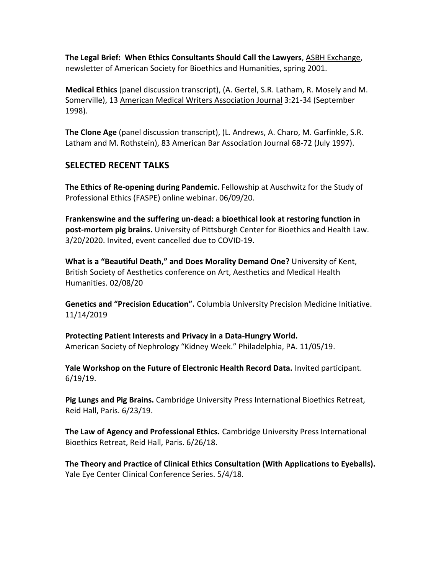**The Legal Brief: When Ethics Consultants Should Call the Lawyers**, ASBH Exchange, newsletter of American Society for Bioethics and Humanities, spring 2001.

**Medical Ethics** (panel discussion transcript), (A. Gertel, S.R. Latham, R. Mosely and M. Somerville), 13 American Medical Writers Association Journal 3:21-34 (September 1998).

**The Clone Age** (panel discussion transcript), (L. Andrews, A. Charo, M. Garfinkle, S.R. Latham and M. Rothstein), 83 American Bar Association Journal 68-72 (July 1997).

### **SELECTED RECENT TALKS**

**The Ethics of Re-opening during Pandemic.** Fellowship at Auschwitz for the Study of Professional Ethics (FASPE) online webinar. 06/09/20.

**Frankenswine and the suffering un-dead: a bioethical look at restoring function in post-mortem pig brains.** University of Pittsburgh Center for Bioethics and Health Law. 3/20/2020. Invited, event cancelled due to COVID-19.

**What is a "Beautiful Death," and Does Morality Demand One?** University of Kent, British Society of Aesthetics conference on Art, Aesthetics and Medical Health Humanities. 02/08/20

**Genetics and "Precision Education".** Columbia University Precision Medicine Initiative. 11/14/2019

**Protecting Patient Interests and Privacy in a Data-Hungry World.**  American Society of Nephrology "Kidney Week." Philadelphia, PA. 11/05/19.

**Yale Workshop on the Future of Electronic Health Record Data.** Invited participant. 6/19/19.

**Pig Lungs and Pig Brains.** Cambridge University Press International Bioethics Retreat, Reid Hall, Paris. 6/23/19.

**The Law of Agency and Professional Ethics.** Cambridge University Press International Bioethics Retreat, Reid Hall, Paris. 6/26/18.

**The Theory and Practice of Clinical Ethics Consultation (With Applications to Eyeballs).** Yale Eye Center Clinical Conference Series. 5/4/18.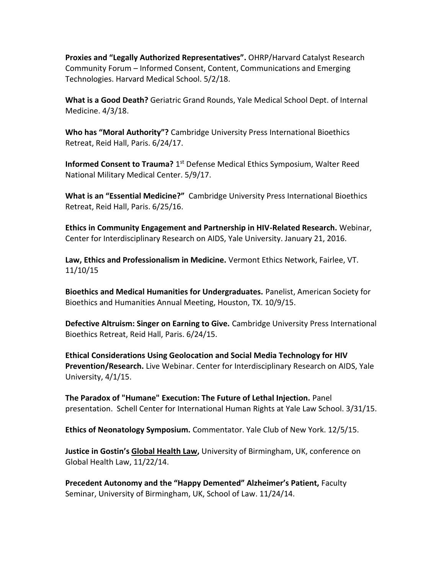**Proxies and "Legally Authorized Representatives".** OHRP/Harvard Catalyst Research Community Forum – Informed Consent, Content, Communications and Emerging Technologies. Harvard Medical School. 5/2/18.

**What is a Good Death?** Geriatric Grand Rounds, Yale Medical School Dept. of Internal Medicine. 4/3/18.

**Who has "Moral Authority"?** Cambridge University Press International Bioethics Retreat, Reid Hall, Paris. 6/24/17.

**Informed Consent to Trauma?** 1<sup>st</sup> Defense Medical Ethics Symposium, Walter Reed National Military Medical Center. 5/9/17.

**What is an "Essential Medicine?"** Cambridge University Press International Bioethics Retreat, Reid Hall, Paris. 6/25/16.

**Ethics in Community Engagement and Partnership in HIV-Related Research.** Webinar, Center for Interdisciplinary Research on AIDS, Yale University. January 21, 2016.

**Law, Ethics and Professionalism in Medicine.** Vermont Ethics Network, Fairlee, VT. 11/10/15

**Bioethics and Medical Humanities for Undergraduates.** Panelist, American Society for Bioethics and Humanities Annual Meeting, Houston, TX. 10/9/15.

**Defective Altruism: Singer on Earning to Give.** Cambridge University Press International Bioethics Retreat, Reid Hall, Paris. 6/24/15.

**Ethical Considerations Using Geolocation and Social Media Technology for HIV Prevention/Research.** Live Webinar. Center for Interdisciplinary Research on AIDS, Yale University, 4/1/15.

**The Paradox of "Humane" Execution: The Future of Lethal Injection.** Panel presentation. Schell Center for International Human Rights at Yale Law School. 3/31/15.

**Ethics of Neonatology Symposium.** Commentator. Yale Club of New York. 12/5/15.

**Justice in Gostin's Global Health Law,** University of Birmingham, UK, conference on Global Health Law, 11/22/14.

**Precedent Autonomy and the "Happy Demented" Alzheimer's Patient,** Faculty Seminar, University of Birmingham, UK, School of Law. 11/24/14.